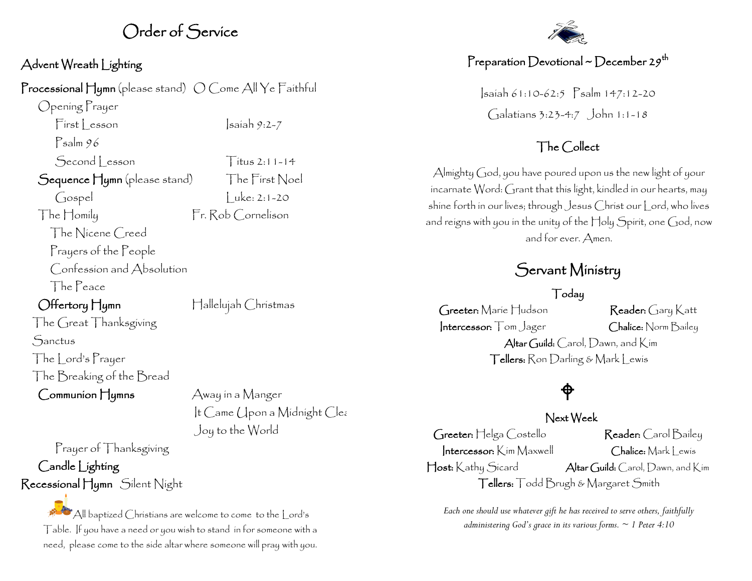## Order of Service

#### Advent Wreath Lighting

Processional Hymn (please stand)  $\bigcirc$  Come All Ye Faithful

Opening Prayer

 $First  $|$  reson \t |sain 9:2-7$ Psalm 96

Second esson Titus 2:11-14

 $\int \text{cospel}$   $|$  uke: 2:1-20

Sequence Hymn (please stand) The First Noel

The Homily Fr. Rob Cornelison

 The Nicene Creed Prayers of the People Confession and Absolution The Peace

Offertory Hymn Hallelujah Christmas

Joy to the World

It Came (Ipon a Midnight Clear

The Great Thanksgiving **Sanctus** The Lord's Prayer The Breaking of the Bread

 $Common$   $H_{\text{V}}$   $\rightarrow$   $A_{\text{Way in a Manger}}$ 

Prayer of Thanksgiving Candle Lighting Recessional Hymn Silent Night

> $\mathbb{A}$  All baptized Christians are welcome to come to the  $\mathsf{L}$ ord's Table. If you have a need or you wish to stand in for someone with a need, please come to the side altar where someone will pray with you.



### Preparation Devotional ~ December 29<sup>th</sup>

Isaiah 61:10-62:5 Psalm 147:12-20 Galatians 3:23-4:7 John 1:1-18

#### The Collect

Almighty God, you have poured upon us the new light of your incarnate Word: Grant that this light, kindled in our hearts, may shine forth in our lives; through Jesus Christ our Lord, who lives and reigns with you in the unity of the Holy Spirit, one God, now and for ever. Amen.

## Servant Ministry

Today

Greeter: Marie Hudson Reader: Gary Katt Intercessor: Tom Jager Chalice: Norm Bailey Altar Guild: Carol, Dawn, and Kim Tellers: Ron Darling & Mark Lewis

# $\hat{\phi}$

#### Next Week

Greeter: Helga Costello Reader: Carol Bailey  $\left| \right|$ ntercessor: Kim Maxwell  $\left| \right|$  (halice: Mark Lewis Host: Kathy Sicard Altar Guild: Carol, Dawn, and Kim Tellers: Todd Brugh & Margaret Smith

*Each one should use whatever gift he has received to serve others, faithfully administering God's grace in its various forms. ~ 1 Peter 4:10*